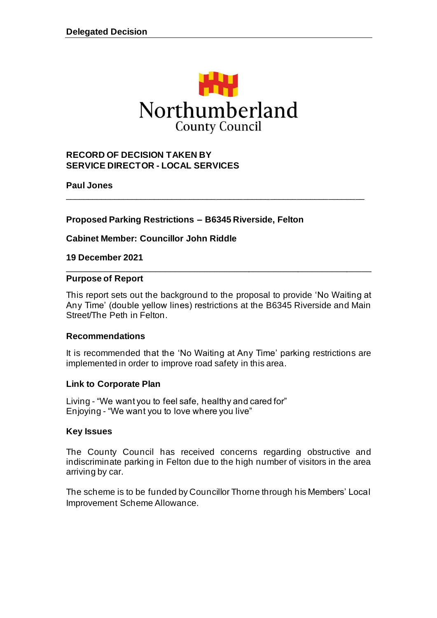

\_\_\_\_\_\_\_\_\_\_\_\_\_\_\_\_\_\_\_\_\_\_\_\_\_\_\_\_\_\_\_\_\_\_\_\_\_\_\_\_\_\_\_\_\_\_\_\_\_\_\_\_\_\_\_\_\_\_\_\_\_\_\_\_\_\_\_

#### **RECORD OF DECISION TAKEN BY SERVICE DIRECTOR - LOCAL SERVICES**

**Paul Jones**

**Proposed Parking Restrictions – B6345 Riverside, Felton**

**Cabinet Member: Councillor John Riddle**

**19 December 2021**

#### **Purpose of Report**

This report sets out the background to the proposal to provide 'No Waiting at Any Time' (double yellow lines) restrictions at the B6345 Riverside and Main Street/The Peth in Felton.

\_\_\_\_\_\_\_\_\_\_\_\_\_\_\_\_\_\_\_\_\_\_\_\_\_\_\_\_\_\_\_\_\_\_\_\_\_\_\_\_\_\_\_\_\_\_\_\_\_\_\_\_\_\_\_\_\_\_\_\_\_\_

#### **Recommendations**

It is recommended that the 'No Waiting at Any Time' parking restrictions are implemented in order to improve road safety in this area.

#### **Link to Corporate Plan**

Living - "We want you to feel safe, healthy and cared for" Enjoying - "We want you to love where you live"

#### **Key Issues**

The County Council has received concerns regarding obstructive and indiscriminate parking in Felton due to the high number of visitors in the area arriving by car.

The scheme is to be funded by Councillor Thorne through his Members' Local Improvement Scheme Allowance.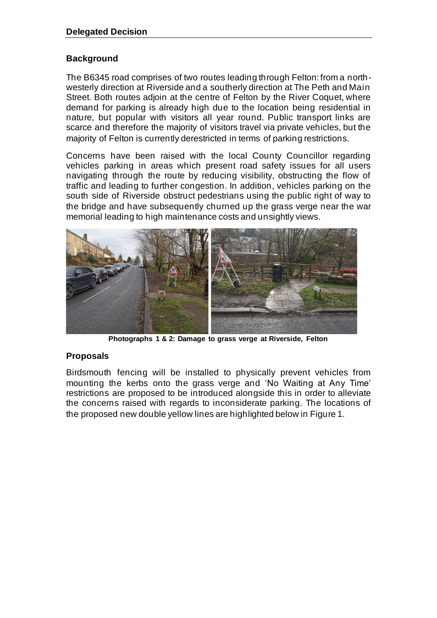#### **Background**

The B6345 road comprises of two routes leading through Felton: from a northwesterly direction at Riverside and a southerly direction at The Peth and Main Street. Both routes adjoin at the centre of Felton by the River Coquet, where demand for parking is already high due to the location being residential in nature, but popular with visitors all year round. Public transport links are scarce and therefore the majority of visitors travel via private vehicles, but the majority of Felton is currently derestricted in terms of parking restrictions.

Concerns have been raised with the local County Councillor regarding vehicles parking in areas which present road safety issues for all users navigating through the route by reducing visibility, obstructing the flow of traffic and leading to further congestion. In addition, vehicles parking on the south side of Riverside obstruct pedestrians using the public right of way to the bridge and have subsequently churned up the grass verge near the war memorial leading to high maintenance costs and unsightly views.



**Photographs 1 & 2: Damage to grass verge at Riverside, Felton**

## **Proposals**

Birdsmouth fencing will be installed to physically prevent vehicles from mounting the kerbs onto the grass verge and 'No Waiting at Any Time' restrictions are proposed to be introduced alongside this in order to alleviate the concerns raised with regards to inconsiderate parking. The locations of the proposed new double yellow lines are highlighted below in Figure 1.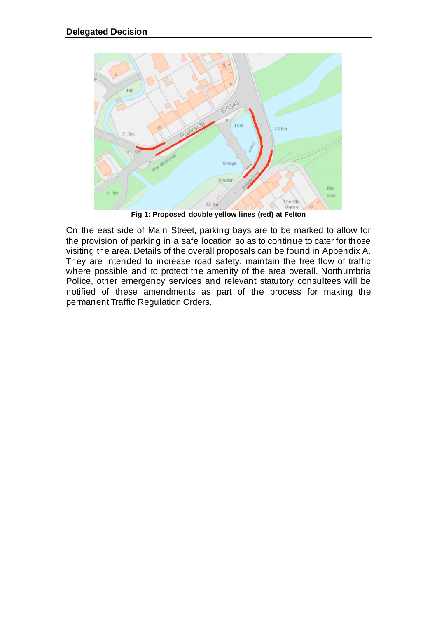

**Fig 1: Proposed double yellow lines (red) at Felton**

On the east side of Main Street, parking bays are to be marked to allow for the provision of parking in a safe location so as to continue to cater for those visiting the area. Details of the overall proposals can be found in Appendix A. They are intended to increase road safety, maintain the free flow of traffic where possible and to protect the amenity of the area overall. Northumbria Police, other emergency services and relevant statutory consultees will be notified of these amendments as part of the process for making the permanent Traffic Regulation Orders.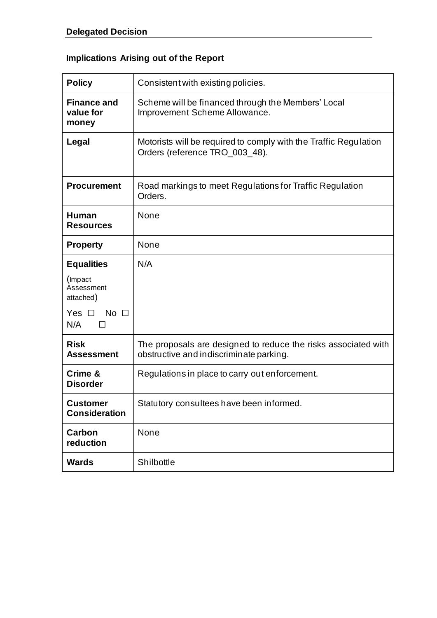# **Implications Arising out of the Report**

| <b>Policy</b>                            | Consistent with existing policies.                                                                        |  |
|------------------------------------------|-----------------------------------------------------------------------------------------------------------|--|
| <b>Finance and</b><br>value for<br>money | Scheme will be financed through the Members' Local<br>Improvement Scheme Allowance.                       |  |
| Legal                                    | Motorists will be required to comply with the Traffic Regulation<br>Orders (reference TRO_003_48).        |  |
| <b>Procurement</b>                       | Road markings to meet Regulations for Traffic Regulation<br>Orders.                                       |  |
| Human<br><b>Resources</b>                | None                                                                                                      |  |
| <b>Property</b>                          | None                                                                                                      |  |
| <b>Equalities</b>                        | N/A                                                                                                       |  |
| (Impact<br>Assessment<br>attached)       |                                                                                                           |  |
| Yes $\square$ No $\square$<br>N/A        |                                                                                                           |  |
| <b>Risk</b><br><b>Assessment</b>         | The proposals are designed to reduce the risks associated with<br>obstructive and indiscriminate parking. |  |
| Crime &<br><b>Disorder</b>               | Regulations in place to carry out enforcement.                                                            |  |
| <b>Customer</b><br><b>Consideration</b>  | Statutory consultees have been informed.                                                                  |  |
| <b>Carbon</b><br>reduction               | None                                                                                                      |  |
| <b>Wards</b>                             | Shilbottle                                                                                                |  |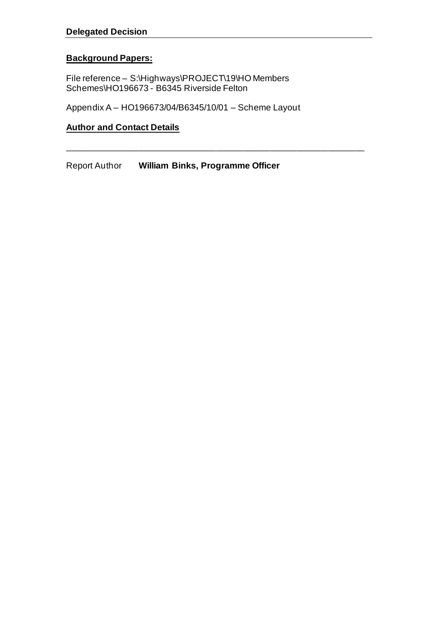## **Background Papers:**

File reference – S:\Highways\PROJECT\19\HO Members Schemes\HO196673 - B6345 Riverside Felton

Appendix A – HO196673/04/B6345/10/01 – Scheme Layout

\_\_\_\_\_\_\_\_\_\_\_\_\_\_\_\_\_\_\_\_\_\_\_\_\_\_\_\_\_\_\_\_\_\_\_\_\_\_\_\_\_\_\_\_\_\_\_\_\_\_\_\_\_\_\_\_\_\_\_\_\_\_\_\_\_\_\_

## **Author and Contact Details**

Report Author **William Binks, Programme Officer**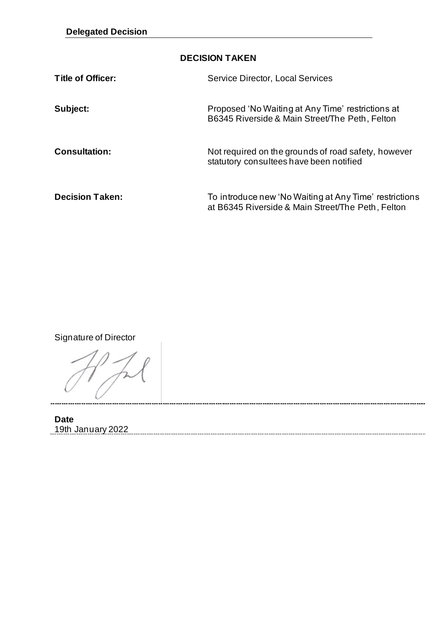## **DECISION TAKEN**

| Title of Officer:      | Service Director, Local Services                                                                            |
|------------------------|-------------------------------------------------------------------------------------------------------------|
| Subject:               | Proposed 'No Waiting at Any Time' restrictions at<br>B6345 Riverside & Main Street/The Peth, Felton         |
| <b>Consultation:</b>   | Not required on the grounds of road safety, however<br>statutory consultees have been notified              |
| <b>Decision Taken:</b> | To introduce new 'No Waiting at Any Time' restrictions<br>at B6345 Riverside & Main Street/The Peth, Felton |

Signature of Director

**Date** 19th January 2022